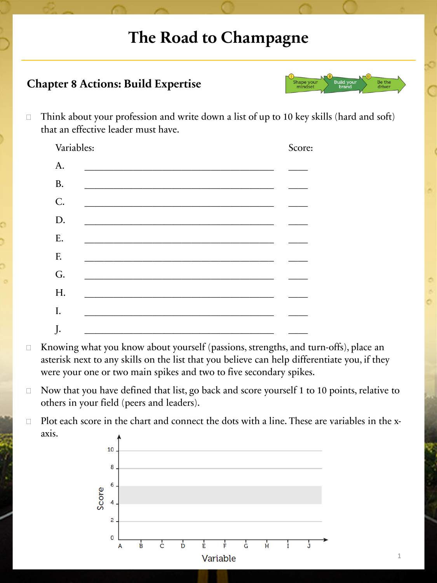## **The Road to Champagne**

## **Chapter 8 Actions: Build Expertise**

**Be the**<br>driver

 $\Box$  Think about your profession and write down a list of up to 10 key skills (hard and soft) that an effective leader must have.



- □ Knowing what you know about yourself (passions, strengths, and turn-offs), place an asterisk next to any skills on the list that you believe can help differentiate you, if they were your one or two main spikes and two to five secondary spikes.
- $\Box$  Now that you have defined that list, go back and score yourself 1 to 10 points, relative to others in your field (peers and leaders).
- $\Box$  Plot each score in the chart and connect the dots with a line. These are variables in the xaxis.



1